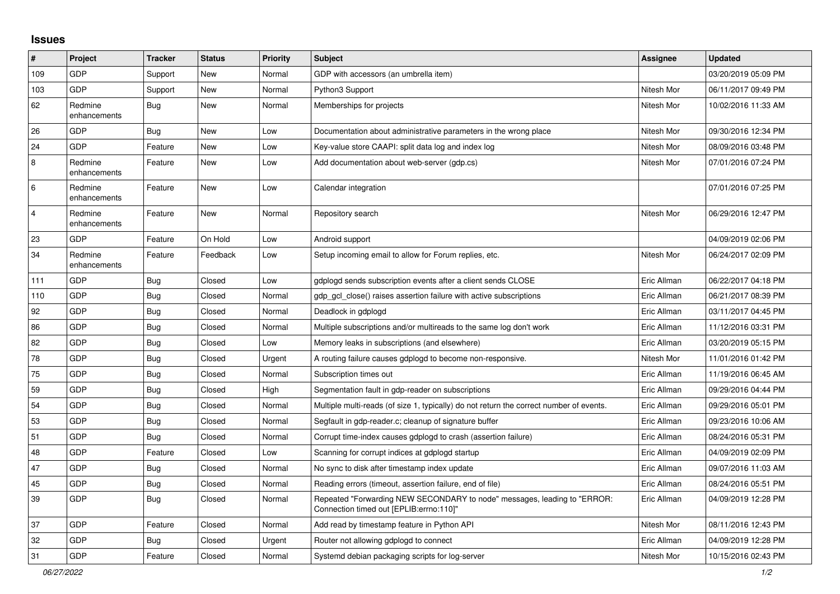## **Issues**

| #              | Project                 | <b>Tracker</b> | <b>Status</b> | <b>Priority</b> | <b>Subject</b>                                                                                                      | <b>Assignee</b> | <b>Updated</b>      |
|----------------|-------------------------|----------------|---------------|-----------------|---------------------------------------------------------------------------------------------------------------------|-----------------|---------------------|
| 109            | GDP                     | Support        | New           | Normal          | GDP with accessors (an umbrella item)                                                                               |                 | 03/20/2019 05:09 PM |
| 103            | <b>GDP</b>              | Support        | <b>New</b>    | Normal          | Python3 Support                                                                                                     | Nitesh Mor      | 06/11/2017 09:49 PM |
| 62             | Redmine<br>enhancements | <b>Bug</b>     | <b>New</b>    | Normal          | Memberships for projects                                                                                            | Nitesh Mor      | 10/02/2016 11:33 AM |
| 26             | <b>GDP</b>              | <b>Bug</b>     | New           | Low             | Documentation about administrative parameters in the wrong place                                                    | Nitesh Mor      | 09/30/2016 12:34 PM |
| 24             | <b>GDP</b>              | Feature        | New           | Low             | Key-value store CAAPI: split data log and index log                                                                 | Nitesh Mor      | 08/09/2016 03:48 PM |
| 8              | Redmine<br>enhancements | Feature        | New           | Low             | Add documentation about web-server (gdp.cs)                                                                         | Nitesh Mor      | 07/01/2016 07:24 PM |
| $\,6$          | Redmine<br>enhancements | Feature        | New           | Low             | Calendar integration                                                                                                |                 | 07/01/2016 07:25 PM |
| $\overline{4}$ | Redmine<br>enhancements | Feature        | New           | Normal          | Repository search                                                                                                   | Nitesh Mor      | 06/29/2016 12:47 PM |
| 23             | GDP                     | Feature        | On Hold       | Low             | Android support                                                                                                     |                 | 04/09/2019 02:06 PM |
| 34             | Redmine<br>enhancements | Feature        | Feedback      | Low             | Setup incoming email to allow for Forum replies, etc.                                                               | Nitesh Mor      | 06/24/2017 02:09 PM |
| 111            | GDP                     | Bug            | Closed        | Low             | gdplogd sends subscription events after a client sends CLOSE                                                        | Eric Allman     | 06/22/2017 04:18 PM |
| 110            | <b>GDP</b>              | Bug            | Closed        | Normal          | gdp gcl close() raises assertion failure with active subscriptions                                                  | Eric Allman     | 06/21/2017 08:39 PM |
| 92             | <b>GDP</b>              | Bug            | Closed        | Normal          | Deadlock in gdplogd                                                                                                 | Eric Allman     | 03/11/2017 04:45 PM |
| 86             | <b>GDP</b>              | <b>Bug</b>     | Closed        | Normal          | Multiple subscriptions and/or multireads to the same log don't work                                                 | Eric Allman     | 11/12/2016 03:31 PM |
| 82             | <b>GDP</b>              | <b>Bug</b>     | Closed        | Low             | Memory leaks in subscriptions (and elsewhere)                                                                       | Eric Allman     | 03/20/2019 05:15 PM |
| 78             | <b>GDP</b>              | <b>Bug</b>     | Closed        | Urgent          | A routing failure causes gdplogd to become non-responsive.                                                          | Nitesh Mor      | 11/01/2016 01:42 PM |
| 75             | <b>GDP</b>              | <b>Bug</b>     | Closed        | Normal          | Subscription times out                                                                                              | Eric Allman     | 11/19/2016 06:45 AM |
| 59             | GDP                     | <b>Bug</b>     | Closed        | High            | Segmentation fault in gdp-reader on subscriptions                                                                   | Eric Allman     | 09/29/2016 04:44 PM |
| 54             | <b>GDP</b>              | Bug            | Closed        | Normal          | Multiple multi-reads (of size 1, typically) do not return the correct number of events.                             | Eric Allman     | 09/29/2016 05:01 PM |
| 53             | <b>GDP</b>              | <b>Bug</b>     | Closed        | Normal          | Segfault in gdp-reader.c; cleanup of signature buffer                                                               | Eric Allman     | 09/23/2016 10:06 AM |
| 51             | <b>GDP</b>              | <b>Bug</b>     | Closed        | Normal          | Corrupt time-index causes gdplogd to crash (assertion failure)                                                      | Eric Allman     | 08/24/2016 05:31 PM |
| 48             | GDP                     | Feature        | Closed        | Low             | Scanning for corrupt indices at gdplogd startup                                                                     | Eric Allman     | 04/09/2019 02:09 PM |
| 47             | <b>GDP</b>              | Bug            | Closed        | Normal          | No sync to disk after timestamp index update                                                                        | Eric Allman     | 09/07/2016 11:03 AM |
| 45             | <b>GDP</b>              | <b>Bug</b>     | Closed        | Normal          | Reading errors (timeout, assertion failure, end of file)                                                            | Eric Allman     | 08/24/2016 05:51 PM |
| 39             | <b>GDP</b>              | Bug            | Closed        | Normal          | Repeated "Forwarding NEW SECONDARY to node" messages, leading to "ERROR:<br>Connection timed out [EPLIB:errno:110]" | Eric Allman     | 04/09/2019 12:28 PM |
| 37             | <b>GDP</b>              | Feature        | Closed        | Normal          | Add read by timestamp feature in Python API                                                                         | Nitesh Mor      | 08/11/2016 12:43 PM |
| 32             | GDP                     | <b>Bug</b>     | Closed        | Urgent          | Router not allowing gdplogd to connect                                                                              | Eric Allman     | 04/09/2019 12:28 PM |
| 31             | <b>GDP</b>              | Feature        | Closed        | Normal          | Systemd debian packaging scripts for log-server                                                                     | Nitesh Mor      | 10/15/2016 02:43 PM |